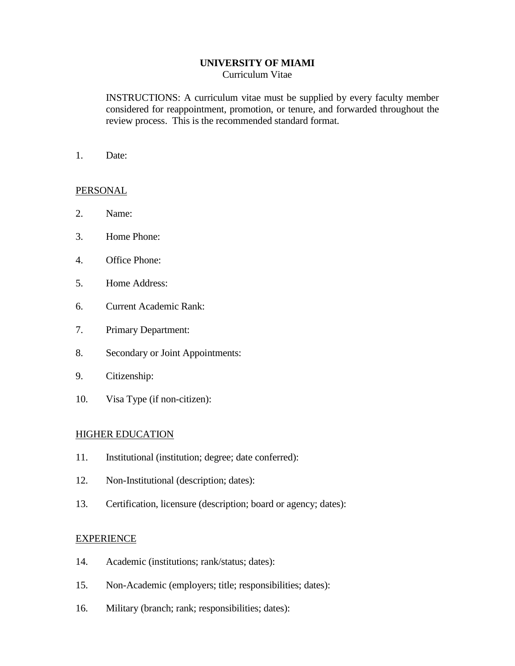## **UNIVERSITY OF MIAMI**

Curriculum Vitae

INSTRUCTIONS: A curriculum vitae must be supplied by every faculty member considered for reappointment, promotion, or tenure, and forwarded throughout the review process. This is the recommended standard format.

1. Date:

## PERSONAL

- 2. Name:
- 3. Home Phone:
- 4. Office Phone:
- 5. Home Address:
- 6. Current Academic Rank:
- 7. Primary Department:
- 8. Secondary or Joint Appointments:
- 9. Citizenship:
- 10. Visa Type (if non-citizen):

#### HIGHER EDUCATION

- 11. Institutional (institution; degree; date conferred):
- 12. Non-Institutional (description; dates):
- 13. Certification, licensure (description; board or agency; dates):

#### EXPERIENCE

- 14. Academic (institutions; rank/status; dates):
- 15. Non-Academic (employers; title; responsibilities; dates):
- 16. Military (branch; rank; responsibilities; dates):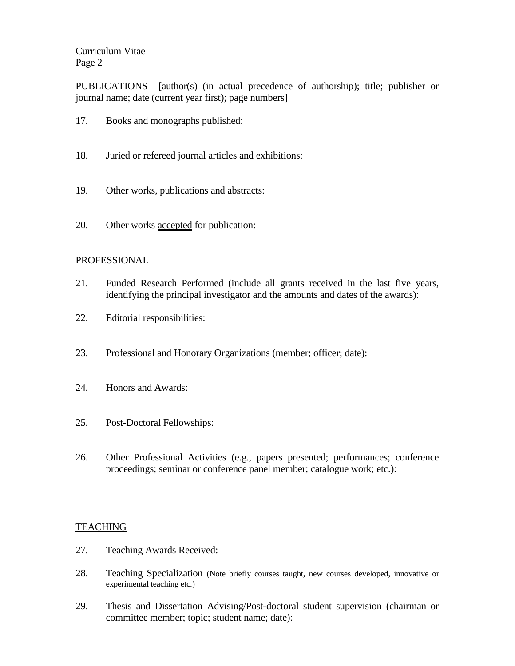Curriculum Vitae Page 2

PUBLICATIONS [author(s) (in actual precedence of authorship); title; publisher or journal name; date (current year first); page numbers]

- 17. Books and monographs published:
- 18. Juried or refereed journal articles and exhibitions:
- 19. Other works, publications and abstracts:
- 20. Other works accepted for publication:

#### PROFESSIONAL

- 21. Funded Research Performed (include all grants received in the last five years, identifying the principal investigator and the amounts and dates of the awards):
- 22. Editorial responsibilities:
- 23. Professional and Honorary Organizations (member; officer; date):
- 24. Honors and Awards:
- 25. Post-Doctoral Fellowships:
- 26. Other Professional Activities (e.g., papers presented; performances; conference proceedings; seminar or conference panel member; catalogue work; etc.):

#### **TEACHING**

- 27. Teaching Awards Received:
- 28. Teaching Specialization (Note briefly courses taught, new courses developed, innovative or experimental teaching etc.)
- 29. Thesis and Dissertation Advising/Post-doctoral student supervision (chairman or committee member; topic; student name; date):